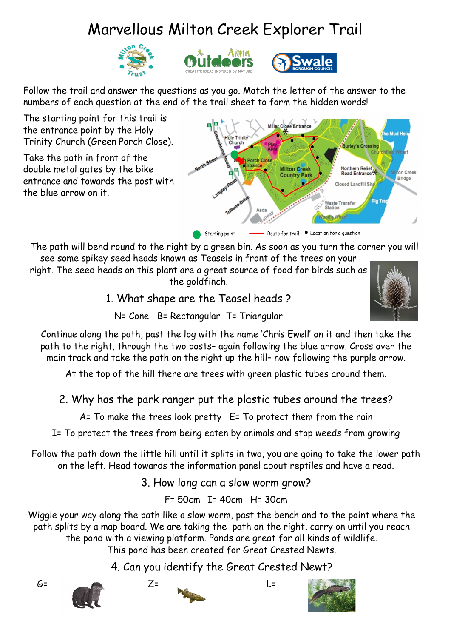## Marvellous Milton Creek Explorer Trail







Follow the trail and answer the questions as you go. Match the letter of the answer to the numbers of each question at the end of the trail sheet to form the hidden words!

The starting point for this trail is the entrance point by the Holy Trinity Church (Green Porch Close).

Take the path in front of the double metal gates by the bike entrance and towards the post with the blue arrow on it.



The path will bend round to the right by a green bin. As soon as you turn the corner you will see some spikey seed heads known as Teasels in front of the trees on your

right. The seed heads on this plant are a great source of food for birds such as the goldfinch.

1. What shape are the Teasel heads ?



N= Cone B= Rectangular T= Triangular

Continue along the path, past the log with the name 'Chris Ewell' on it and then take the path to the right, through the two posts– again following the blue arrow. Cross over the main track and take the path on the right up the hill– now following the purple arrow.

At the top of the hill there are trees with green plastic tubes around them.

2. Why has the park ranger put the plastic tubes around the trees?

A= To make the trees look pretty E= To protect them from the rain

I= To protect the trees from being eaten by animals and stop weeds from growing

Follow the path down the little hill until it splits in two, you are going to take the lower path on the left. Head towards the information panel about reptiles and have a read.

3. How long can a slow worm grow?

F= 50cm I= 40cm H= 30cm

Wiggle your way along the path like a slow worm, past the bench and to the point where the path splits by a map board. We are taking the path on the right, carry on until you reach the pond with a viewing platform. Ponds are great for all kinds of wildlife. This pond has been created for Great Crested Newts.

4. Can you identify the Great Crested Newt?